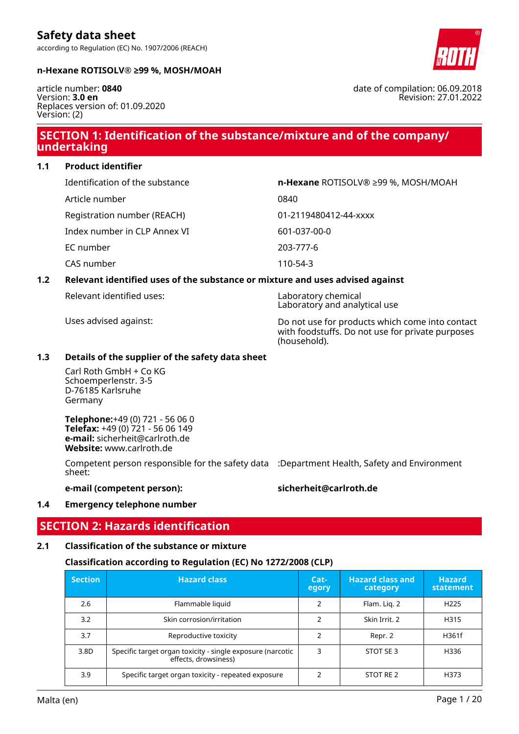#### **n-Hexane ROTISOLV® ≥99 %, MOSH/MOAH**

article number: **0840** Version: **3.0 en** Replaces version of: 01.09.2020 Version: (2)

## **SECTION 1: Identification of the substance/mixture and of the company/ undertaking**

**1.1 Product identifier**

| Identification of the substance | n-Hexane ROTISOLV® ≥99 %, MOSH/MOAH |
|---------------------------------|-------------------------------------|
| Article number                  | 0840                                |
| Registration number (REACH)     | 01-2119480412-44-xxxx               |
| Index number in CLP Annex VI    | 601-037-00-0                        |
| EC number                       | 203-777-6                           |
| CAS number                      | 110-54-3                            |

#### **1.2 Relevant identified uses of the substance or mixture and uses advised against**

Relevant identified uses: Laboratory chemical

Laboratory and analytical use

Uses advised against: Do not use for products which come into contact with foodstuffs. Do not use for private purposes (household).

#### **1.3 Details of the supplier of the safety data sheet**

Carl Roth GmbH + Co KG Schoemperlenstr. 3-5 D-76185 Karlsruhe Germany

**Telephone:**+49 (0) 721 - 56 06 0 **Telefax:** +49 (0) 721 - 56 06 149 **e-mail:** sicherheit@carlroth.de **Website:** www.carlroth.de

Competent person responsible for the safety data :Department Health, Safety and Environment sheet:

**e-mail (competent person): sicherheit@carlroth.de**

#### **1.4 Emergency telephone number**

### **SECTION 2: Hazards identification**

#### **2.1 Classification of the substance or mixture**

#### **Classification according to Regulation (EC) No 1272/2008 (CLP)**

| <b>Section</b> | <b>Hazard class</b>                                                                | $Cat-$<br>egory | <b>Hazard class and</b><br>category | <b>Hazard</b><br>statement |
|----------------|------------------------------------------------------------------------------------|-----------------|-------------------------------------|----------------------------|
| 2.6            | Flammable liquid                                                                   | っ               | Flam. Lig. 2                        | H <sub>225</sub>           |
| 3.2            | Skin corrosion/irritation                                                          |                 | Skin Irrit. 2                       | H315                       |
| 3.7            | Reproductive toxicity                                                              |                 | Repr. 2                             | H361f                      |
| 3.8D           | Specific target organ toxicity - single exposure (narcotic<br>effects, drowsiness) | 3               | STOT SE3                            | H336                       |
| 3.9            | Specific target organ toxicity - repeated exposure                                 |                 | STOT RE 2                           | H373                       |

date of compilation: 06.09.2018 Revision: 27.01.2022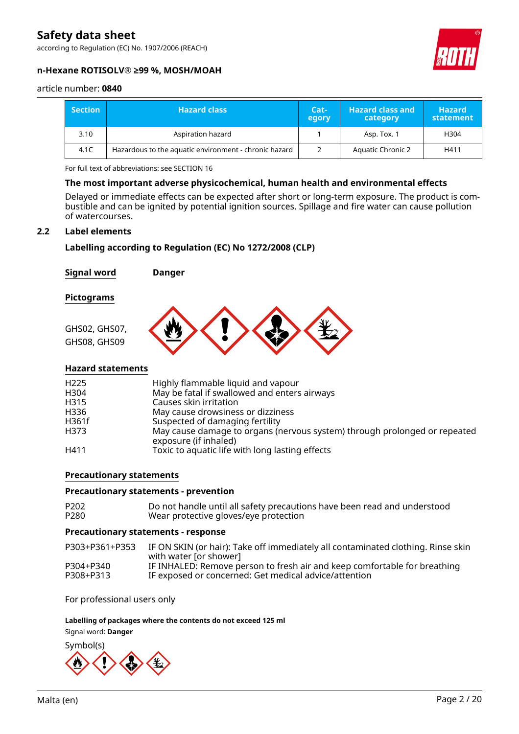according to Regulation (EC) No. 1907/2006 (REACH)



#### **n-Hexane ROTISOLV® ≥99 %, MOSH/MOAH**

#### article number: **0840**

| <b>Section</b> | <b>Hazard class</b>                                   | Cat-<br>egory | <b>Hazard class and</b><br>category | <b>Hazard</b><br>statement |
|----------------|-------------------------------------------------------|---------------|-------------------------------------|----------------------------|
| 3.10           | Aspiration hazard                                     |               | Asp. Tox. 1                         | H304                       |
| 4.1C           | Hazardous to the aquatic environment - chronic hazard |               | <b>Aquatic Chronic 2</b>            | H411                       |

For full text of abbreviations: see SECTION 16

#### **The most important adverse physicochemical, human health and environmental effects**

Delayed or immediate effects can be expected after short or long-term exposure. The product is combustible and can be ignited by potential ignition sources. Spillage and fire water can cause pollution of watercourses.

#### **2.2 Label elements**

#### **Labelling according to Regulation (EC) No 1272/2008 (CLP)**

**Signal word Danger**

#### **Pictograms**



#### **Hazard statements**

| H <sub>225</sub> | Highly flammable liquid and vapour                                                                 |
|------------------|----------------------------------------------------------------------------------------------------|
| H304             | May be fatal if swallowed and enters airways                                                       |
| H315             | Causes skin irritation                                                                             |
| H336             | May cause drowsiness or dizziness                                                                  |
| H361f            | Suspected of damaging fertility                                                                    |
| H373             | May cause damage to organs (nervous system) through prolonged or repeated<br>exposure (if inhaled) |
| H411             | Toxic to aquatic life with long lasting effects                                                    |

#### **Precautionary statements**

#### **Precautionary statements - prevention**

| P <sub>202</sub> | Do not handle until all safety precautions have been read and understood |
|------------------|--------------------------------------------------------------------------|
| P280             | Wear protective gloves/eye protection                                    |

#### **Precautionary statements - response**

| P303+P361+P353 | IF ON SKIN (or hair): Take off immediately all contaminated clothing. Rinse skin<br>with water for shower |
|----------------|-----------------------------------------------------------------------------------------------------------|
| P304+P340      | IF INHALED: Remove person to fresh air and keep comfortable for breathing                                 |
| P308+P313      | IF exposed or concerned: Get medical advice/attention                                                     |

For professional users only

#### **Labelling of packages where the contents do not exceed 125 ml**

#### Signal word: **Danger**

Symbol(s)

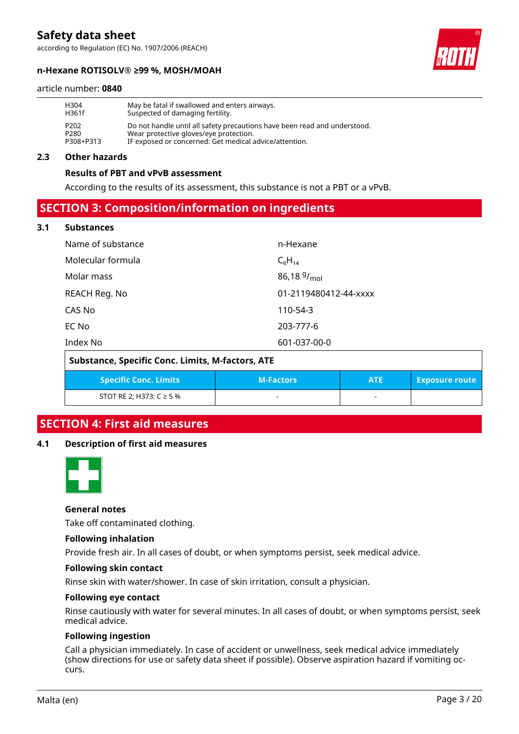according to Regulation (EC) No. 1907/2006 (REACH)

#### **n-Hexane ROTISOLV® ≥99 %, MOSH/MOAH**

#### article number: **0840**

| H <sub>304</sub> | May be fatal if swallowed and enters airways.                             |
|------------------|---------------------------------------------------------------------------|
| H361f            | Suspected of damaging fertility.                                          |
| P <sub>202</sub> | Do not handle until all safety precautions have been read and understood. |
| P <sub>280</sub> | Wear protective gloves/eye protection.                                    |
| P308+P313        | IF exposed or concerned: Get medical advice/attention.                    |

#### **2.3 Other hazards**

#### **Results of PBT and vPvB assessment**

According to the results of its assessment, this substance is not a PBT or a vPvB.

### **SECTION 3: Composition/information on ingredients**

#### **3.1 Substances**

| Name of substance | n-Hexane                |
|-------------------|-------------------------|
| Molecular formula | $C_6H_{14}$             |
| Molar mass        | 86,18 $9/_{\text{mol}}$ |
| REACH Reg. No     | 01-2119480412-44-xxxx   |
| CAS No            | 110-54-3                |
| EC No             | 203-777-6               |
| Index No          | 601-037-00-0            |

| Substance, Specific Conc. Limits, M-factors, ATE |                  |            |                       |  |
|--------------------------------------------------|------------------|------------|-----------------------|--|
| <b>Specific Conc. Limits</b>                     | <b>M-Factors</b> | <b>ATE</b> | <b>Exposure route</b> |  |
| STOT RE 2: H373: $C \ge 5$ %                     |                  |            |                       |  |

## **SECTION 4: First aid measures**

#### **4.1 Description of first aid measures**



#### **General notes**

Take off contaminated clothing.

#### **Following inhalation**

Provide fresh air. In all cases of doubt, or when symptoms persist, seek medical advice.

#### **Following skin contact**

Rinse skin with water/shower. In case of skin irritation, consult a physician.

#### **Following eye contact**

Rinse cautiously with water for several minutes. In all cases of doubt, or when symptoms persist, seek medical advice.

#### **Following ingestion**

Call a physician immediately. In case of accident or unwellness, seek medical advice immediately (show directions for use or safety data sheet if possible). Observe aspiration hazard if vomiting occurs.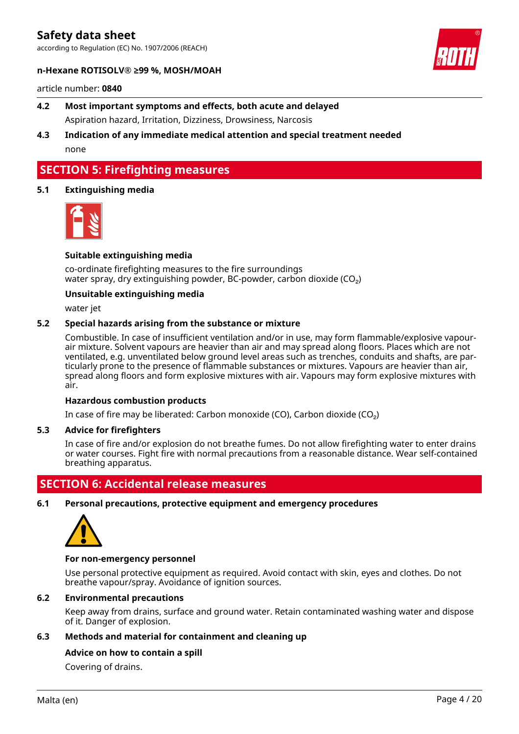according to Regulation (EC) No. 1907/2006 (REACH)



#### **n-Hexane ROTISOLV® ≥99 %, MOSH/MOAH**

article number: **0840**

- **4.2 Most important symptoms and effects, both acute and delayed** Aspiration hazard, Irritation, Dizziness, Drowsiness, Narcosis
- **4.3 Indication of any immediate medical attention and special treatment needed** none

## **SECTION 5: Firefighting measures**

#### **5.1 Extinguishing media**



#### **Suitable extinguishing media**

co-ordinate firefighting measures to the fire surroundings water spray, dry extinguishing powder, BC-powder, carbon dioxide (CO<sub>2</sub>)

#### **Unsuitable extinguishing media**

water jet

#### **5.2 Special hazards arising from the substance or mixture**

Combustible. In case of insufficient ventilation and/or in use, may form flammable/explosive vapourair mixture. Solvent vapours are heavier than air and may spread along floors. Places which are not ventilated, e.g. unventilated below ground level areas such as trenches, conduits and shafts, are particularly prone to the presence of flammable substances or mixtures. Vapours are heavier than air, spread along floors and form explosive mixtures with air. Vapours may form explosive mixtures with air.

#### **Hazardous combustion products**

In case of fire may be liberated: Carbon monoxide (CO), Carbon dioxide (CO₂)

#### **5.3 Advice for firefighters**

In case of fire and/or explosion do not breathe fumes. Do not allow firefighting water to enter drains or water courses. Fight fire with normal precautions from a reasonable distance. Wear self-contained breathing apparatus.

### **SECTION 6: Accidental release measures**

**6.1 Personal precautions, protective equipment and emergency procedures**



#### **For non-emergency personnel**

Use personal protective equipment as required. Avoid contact with skin, eyes and clothes. Do not breathe vapour/spray. Avoidance of ignition sources.

#### **6.2 Environmental precautions**

Keep away from drains, surface and ground water. Retain contaminated washing water and dispose of it. Danger of explosion.

#### **6.3 Methods and material for containment and cleaning up**

#### **Advice on how to contain a spill**

Covering of drains.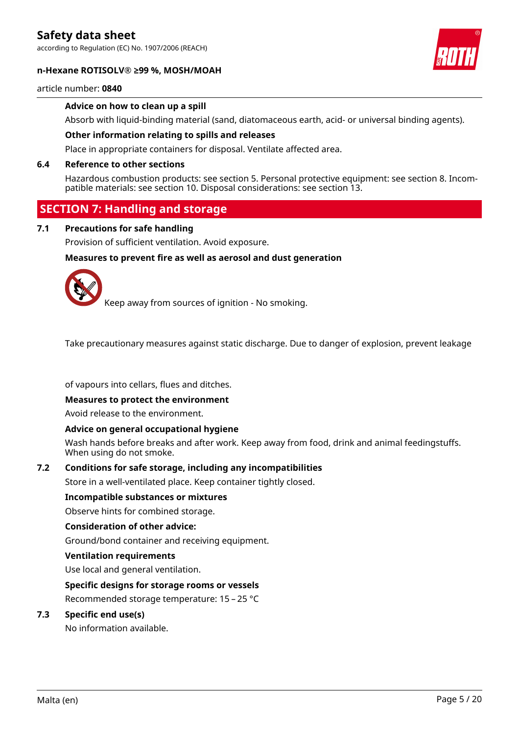according to Regulation (EC) No. 1907/2006 (REACH)

#### **n-Hexane ROTISOLV® ≥99 %, MOSH/MOAH**



#### article number: **0840**

#### **Advice on how to clean up a spill**

Absorb with liquid-binding material (sand, diatomaceous earth, acid- or universal binding agents).

#### **Other information relating to spills and releases**

Place in appropriate containers for disposal. Ventilate affected area.

#### **6.4 Reference to other sections**

Hazardous combustion products: see section 5. Personal protective equipment: see section 8. Incompatible materials: see section 10. Disposal considerations: see section 13.

## **SECTION 7: Handling and storage**

#### **7.1 Precautions for safe handling**

Provision of sufficient ventilation. Avoid exposure.

#### **Measures to prevent fire as well as aerosol and dust generation**



Keep away from sources of ignition - No smoking.

Take precautionary measures against static discharge. Due to danger of explosion, prevent leakage

of vapours into cellars, flues and ditches.

#### **Measures to protect the environment**

Avoid release to the environment.

#### **Advice on general occupational hygiene**

Wash hands before breaks and after work. Keep away from food, drink and animal feedingstuffs. When using do not smoke.

#### **7.2 Conditions for safe storage, including any incompatibilities**

Store in a well-ventilated place. Keep container tightly closed.

#### **Incompatible substances or mixtures**

Observe hints for combined storage.

#### **Consideration of other advice:**

Ground/bond container and receiving equipment.

#### **Ventilation requirements**

Use local and general ventilation.

#### **Specific designs for storage rooms or vessels**

Recommended storage temperature: 15 – 25 °C

#### **7.3 Specific end use(s)**

No information available.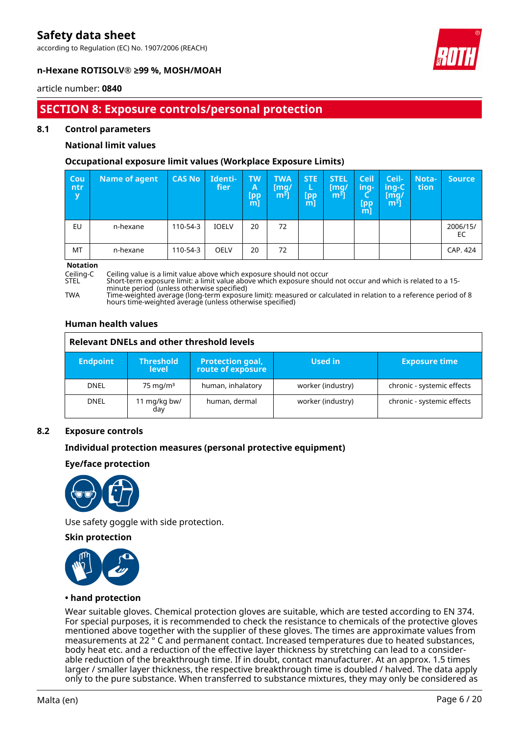according to Regulation (EC) No. 1907/2006 (REACH)



#### **n-Hexane ROTISOLV® ≥99 %, MOSH/MOAH**

#### article number: **0840**

## **SECTION 8: Exposure controls/personal protection**

#### **8.1 Control parameters**

#### **National limit values**

#### **Occupational exposure limit values (Workplace Exposure Limits)**

| Cou<br>ntr<br>y | <b>Name of agent</b> | <b>CAS No</b> | Identi-<br>fier/ | <b>TW</b><br>A<br>[pp<br>m] | <b>TWA</b><br>[mg/<br>$m3$ ] | <b>STE</b><br>L<br>[pp<br>m] | <b>STEL</b><br>[mg/<br>$m3$ ] | <b>Ceil</b><br>ing-<br>[pp]<br>m | Ceil-<br>ing-C<br>[mg/<br>m <sup>3</sup> ] | Nota-<br>tion | <b>Source</b>  |
|-----------------|----------------------|---------------|------------------|-----------------------------|------------------------------|------------------------------|-------------------------------|----------------------------------|--------------------------------------------|---------------|----------------|
| EU              | n-hexane             | 110-54-3      | <b>IOELV</b>     | 20                          | 72                           |                              |                               |                                  |                                            |               | 2006/15/<br>EC |
| MT              | n-hexane             | 110-54-3      | OELV             | 20                          | 72                           |                              |                               |                                  |                                            |               | CAP. 424       |

# **Notation**

Ceiling-C Ceiling value is a limit value above which exposure should not occur

STEL Short-term exposure limit: a limit value above which exposure should not occur and which is related to a 15 minute period (unless otherwise specified)

TWA Time-weighted average (long-term exposure limit): measured or calculated in relation to a reference period of 8 hours time-weighted average (unless otherwise specified)

#### **Human health values**

| <b>Relevant DNELs and other threshold levels</b> |                                  |                                               |                   |                            |  |  |
|--------------------------------------------------|----------------------------------|-----------------------------------------------|-------------------|----------------------------|--|--|
| <b>Endpoint</b>                                  | <b>Threshold</b><br><b>level</b> | <b>Protection goal,<br/>route of exposure</b> | Used in           | <b>Exposure time</b>       |  |  |
| <b>DNEL</b>                                      | $75 \text{ mg/m}^3$              | human, inhalatory                             | worker (industry) | chronic - systemic effects |  |  |
| <b>DNEL</b>                                      | 11 mg/kg bw/<br>day              | human, dermal                                 | worker (industry) | chronic - systemic effects |  |  |

#### **8.2 Exposure controls**

#### **Individual protection measures (personal protective equipment)**

#### **Eye/face protection**



Use safety goggle with side protection.

#### **Skin protection**



#### **• hand protection**

Wear suitable gloves. Chemical protection gloves are suitable, which are tested according to EN 374. For special purposes, it is recommended to check the resistance to chemicals of the protective gloves mentioned above together with the supplier of these gloves. The times are approximate values from measurements at 22 ° C and permanent contact. Increased temperatures due to heated substances, body heat etc. and a reduction of the effective layer thickness by stretching can lead to a considerable reduction of the breakthrough time. If in doubt, contact manufacturer. At an approx. 1.5 times larger / smaller layer thickness, the respective breakthrough time is doubled / halved. The data apply only to the pure substance. When transferred to substance mixtures, they may only be considered as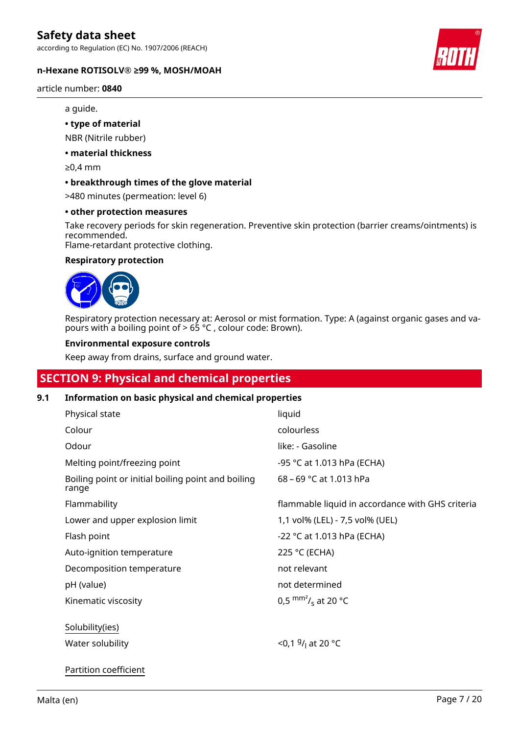according to Regulation (EC) No. 1907/2006 (REACH)

#### **n-Hexane ROTISOLV® ≥99 %, MOSH/MOAH**

article number: **0840**

#### a guide.

#### **• type of material**

NBR (Nitrile rubber)

#### **• material thickness**

≥0,4 mm

#### **• breakthrough times of the glove material**

>480 minutes (permeation: level 6)

#### **• other protection measures**

Take recovery periods for skin regeneration. Preventive skin protection (barrier creams/ointments) is recommended.

Flame-retardant protective clothing.

#### **Respiratory protection**



Respiratory protection necessary at: Aerosol or mist formation. Type: A (against organic gases and vapours with a boiling point of  $> 65$  °C, colour code: Brown).

#### **Environmental exposure controls**

Keep away from drains, surface and ground water.

## **SECTION 9: Physical and chemical properties**

#### **9.1 Information on basic physical and chemical properties**

| Physical state                                              | liquid                                           |
|-------------------------------------------------------------|--------------------------------------------------|
| Colour                                                      | colourless                                       |
| Odour                                                       | like: - Gasoline                                 |
| Melting point/freezing point                                | -95 °C at 1.013 hPa (ECHA)                       |
| Boiling point or initial boiling point and boiling<br>range | 68 - 69 °C at 1.013 hPa                          |
| Flammability                                                | flammable liquid in accordance with GHS criteria |
| Lower and upper explosion limit                             | 1,1 vol% (LEL) - 7,5 vol% (UEL)                  |
| Flash point                                                 | -22 °C at 1.013 hPa (ECHA)                       |
| Auto-ignition temperature                                   | 225 °C (ECHA)                                    |
| Decomposition temperature                                   | not relevant                                     |
| pH (value)                                                  | not determined                                   |
| Kinematic viscosity                                         | 0,5 $\text{mm}^2$ / <sub>s</sub> at 20 °C        |
| Solubility(ies)<br>Water solubility                         | <0,1 $9/1$ at 20 °C                              |
| Partition coefficient                                       |                                                  |

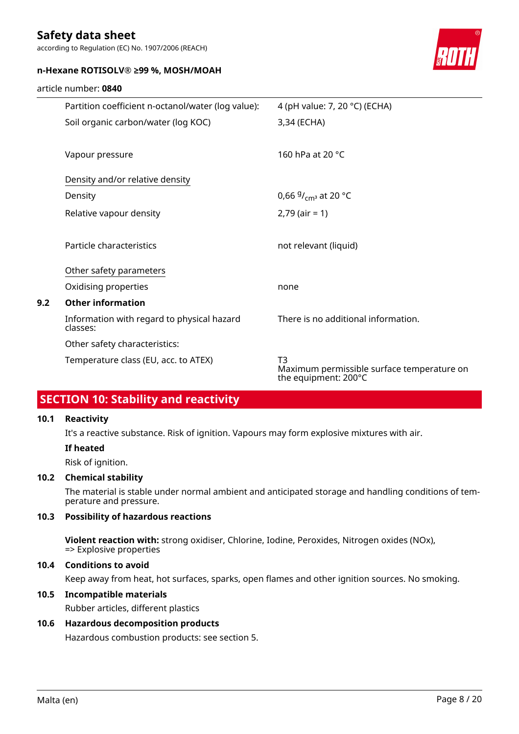article number: **0840**

according to Regulation (EC) No. 1907/2006 (REACH)

#### **n-Hexane ROTISOLV® ≥99 %, MOSH/MOAH**

|     | Partition coefficient n-octanol/water (log value):     | 4 (pH value: 7, 20 °C) (ECHA)                                            |
|-----|--------------------------------------------------------|--------------------------------------------------------------------------|
|     | Soil organic carbon/water (log KOC)                    | 3,34 (ECHA)                                                              |
|     |                                                        |                                                                          |
|     | Vapour pressure                                        | 160 hPa at 20 °C                                                         |
|     | Density and/or relative density                        |                                                                          |
|     | Density                                                | 0,66 $9/_{cm^3}$ at 20 °C                                                |
|     | Relative vapour density                                | $2,79$ (air = 1)                                                         |
|     |                                                        |                                                                          |
|     | Particle characteristics                               | not relevant (liquid)                                                    |
|     | Other safety parameters                                |                                                                          |
|     | Oxidising properties                                   | none                                                                     |
| 9.2 | <b>Other information</b>                               |                                                                          |
|     | Information with regard to physical hazard<br>classes: | There is no additional information.                                      |
|     | Other safety characteristics:                          |                                                                          |
|     | Temperature class (EU, acc. to ATEX)                   | T3<br>Maximum permissible surface temperature on<br>the equipment: 200°C |

## **SECTION 10: Stability and reactivity**

#### **10.1 Reactivity**

It's a reactive substance. Risk of ignition. Vapours may form explosive mixtures with air.

#### **If heated**

Risk of ignition.

#### **10.2 Chemical stability**

The material is stable under normal ambient and anticipated storage and handling conditions of temperature and pressure.

### **10.3 Possibility of hazardous reactions**

**Violent reaction with:** strong oxidiser, Chlorine, Iodine, Peroxides, Nitrogen oxides (NOx), => Explosive properties

#### **10.4 Conditions to avoid**

Keep away from heat, hot surfaces, sparks, open flames and other ignition sources. No smoking.

#### **10.5 Incompatible materials**

Rubber articles, different plastics

#### **10.6 Hazardous decomposition products**

Hazardous combustion products: see section 5.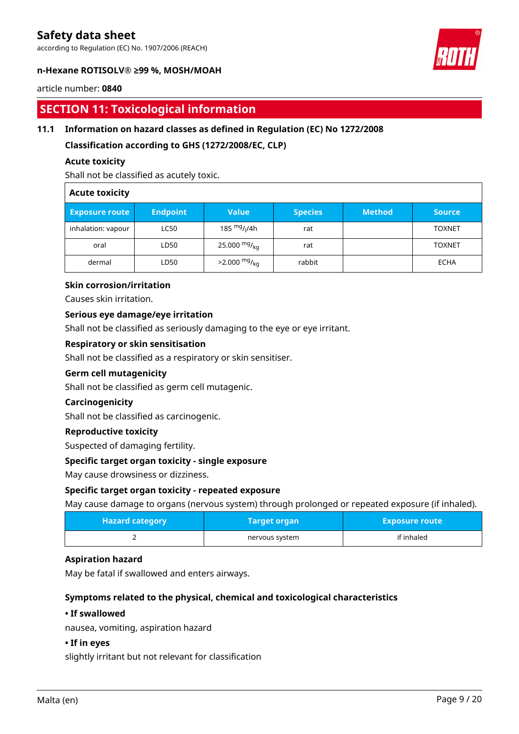according to Regulation (EC) No. 1907/2006 (REACH)



#### **n-Hexane ROTISOLV® ≥99 %, MOSH/MOAH**

#### article number: **0840**

## **SECTION 11: Toxicological information**

#### **11.1 Information on hazard classes as defined in Regulation (EC) No 1272/2008**

**Classification according to GHS (1272/2008/EC, CLP)**

#### **Acute toxicity**

Shall not be classified as acutely toxic.

#### **Acute toxicity**

| <b>Exposure route</b> | <b>Endpoint</b> | <b>Value</b>                         | <b>Species</b> | <b>Method</b> | <b>Source</b> |
|-----------------------|-----------------|--------------------------------------|----------------|---------------|---------------|
| inhalation: vapour    | <b>LC50</b>     | 185 <sup>mg</sup> / <sub>l</sub> /4h | rat            |               | <b>TOXNET</b> |
| oral                  | LD50            | 25.000 $mg/kq$                       | rat            |               | <b>TOXNET</b> |
| dermal                | LD50            | $>2.000 \frac{mg}{ka}$               | rabbit         |               | ECHA          |

#### **Skin corrosion/irritation**

Causes skin irritation.

#### **Serious eye damage/eye irritation**

Shall not be classified as seriously damaging to the eye or eye irritant.

#### **Respiratory or skin sensitisation**

Shall not be classified as a respiratory or skin sensitiser.

#### **Germ cell mutagenicity**

Shall not be classified as germ cell mutagenic.

#### **Carcinogenicity**

Shall not be classified as carcinogenic.

#### **Reproductive toxicity**

Suspected of damaging fertility.

#### **Specific target organ toxicity - single exposure**

May cause drowsiness or dizziness.

#### **Specific target organ toxicity - repeated exposure**

May cause damage to organs (nervous system) through prolonged or repeated exposure (if inhaled).

| Hazard category <sub> </sub> | <b>Target organ</b> | <b>Exposure route</b> |
|------------------------------|---------------------|-----------------------|
|                              | nervous system      | if inhaled            |

#### **Aspiration hazard**

May be fatal if swallowed and enters airways.

#### **Symptoms related to the physical, chemical and toxicological characteristics**

#### **• If swallowed**

nausea, vomiting, aspiration hazard

#### **• If in eyes**

slightly irritant but not relevant for classification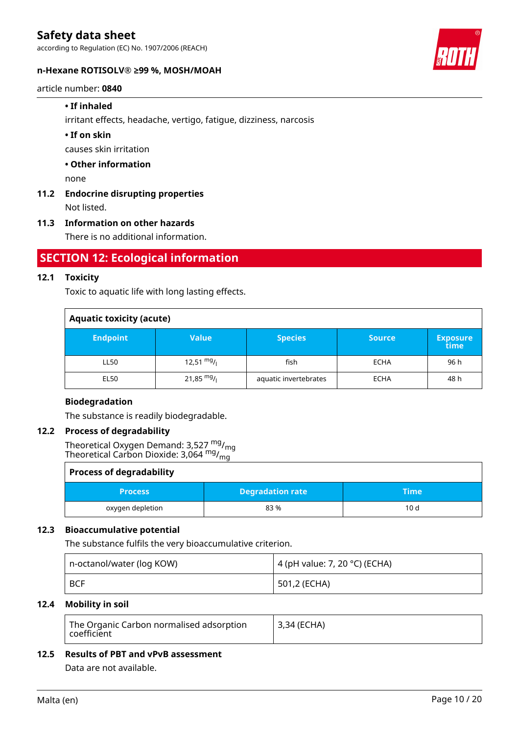according to Regulation (EC) No. 1907/2006 (REACH)

#### **n-Hexane ROTISOLV® ≥99 %, MOSH/MOAH**

#### article number: **0840**

#### **• If inhaled**

irritant effects, headache, vertigo, fatigue, dizziness, narcosis

#### **• If on skin**

causes skin irritation

#### **• Other information**

none

## **11.2 Endocrine disrupting properties**

Not listed.

#### **11.3 Information on other hazards**

There is no additional information.

## **SECTION 12: Ecological information**

#### **12.1 Toxicity**

Toxic to aquatic life with long lasting effects.

| <b>Aquatic toxicity (acute)</b> |                      |                       |               |                         |  |
|---------------------------------|----------------------|-----------------------|---------------|-------------------------|--|
| <b>Endpoint</b>                 | Value                | <b>Species</b>        | <b>Source</b> | <b>Exposure</b><br>time |  |
| LL50                            | $12,51 \frac{mg}{l}$ | fish                  | <b>ECHA</b>   | 96 h                    |  |
| <b>EL50</b>                     | $21,85 \text{ mg}/1$ | aquatic invertebrates | <b>ECHA</b>   | 48 h                    |  |

#### **Biodegradation**

The substance is readily biodegradable.

#### **12.2 Process of degradability**

Theoretical Oxygen Demand: 3,527  $^{\mathsf{mg}}\prime_{\mathsf{mg}}$ Theoretical Carbon Dioxide: 3,064  $^{\mathsf{mg}}\prime_{\mathsf{mg}}$ 

| <b>Process of degradability</b> |                         |             |  |  |
|---------------------------------|-------------------------|-------------|--|--|
| <b>Process</b>                  | <b>Degradation rate</b> | <b>Time</b> |  |  |
| oxygen depletion                | 83%                     | 10d         |  |  |

#### **12.3 Bioaccumulative potential**

The substance fulfils the very bioaccumulative criterion.

| n-octanol/water (log KOW) | 4 (pH value: 7, 20 °C) (ECHA) |  |
|---------------------------|-------------------------------|--|
| ∣ BCF                     | <sup>i</sup> 501,2 (ECHA)     |  |

#### **12.4 Mobility in soil**

| The Organic Carbon normalised adsorption<br>$\overline{\phantom{\alpha}}$ coefficient | <sup> </sup> 3,34 (ECHA) |
|---------------------------------------------------------------------------------------|--------------------------|
|---------------------------------------------------------------------------------------|--------------------------|

#### **12.5 Results of PBT and vPvB assessment**

Data are not available.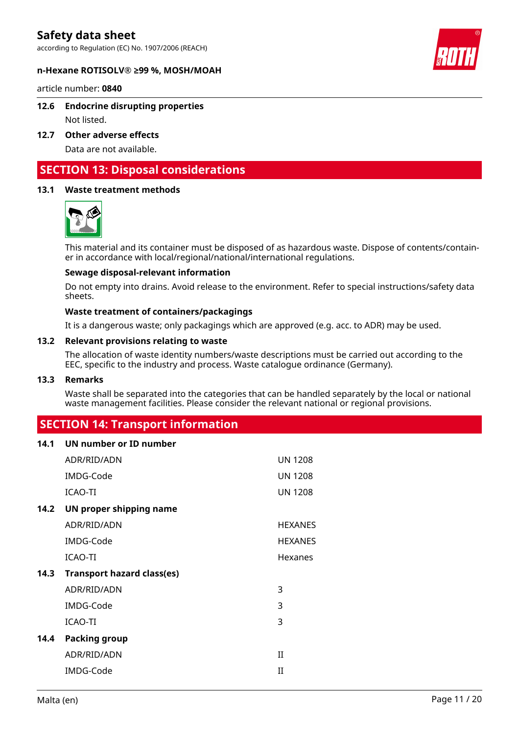according to Regulation (EC) No. 1907/2006 (REACH)



#### **n-Hexane ROTISOLV® ≥99 %, MOSH/MOAH**

article number: **0840**

#### **12.6 Endocrine disrupting properties**

Not listed.

**12.7 Other adverse effects**

Data are not available.

## **SECTION 13: Disposal considerations**

#### **13.1 Waste treatment methods**



This material and its container must be disposed of as hazardous waste. Dispose of contents/container in accordance with local/regional/national/international regulations.

#### **Sewage disposal-relevant information**

Do not empty into drains. Avoid release to the environment. Refer to special instructions/safety data sheets.

#### **Waste treatment of containers/packagings**

It is a dangerous waste; only packagings which are approved (e.g. acc. to ADR) may be used.

#### **13.2 Relevant provisions relating to waste**

The allocation of waste identity numbers/waste descriptions must be carried out according to the EEC, specific to the industry and process. Waste catalogue ordinance (Germany).

#### **13.3 Remarks**

Waste shall be separated into the categories that can be handled separately by the local or national waste management facilities. Please consider the relevant national or regional provisions.

## **SECTION 14: Transport information**

| 14.1 | UN number or ID number            |                |
|------|-----------------------------------|----------------|
|      | ADR/RID/ADN                       | <b>UN 1208</b> |
|      | IMDG-Code                         | <b>UN 1208</b> |
|      | <b>ICAO-TI</b>                    | <b>UN 1208</b> |
| 14.2 | UN proper shipping name           |                |
|      | ADR/RID/ADN                       | <b>HEXANES</b> |
|      | IMDG-Code                         | <b>HEXANES</b> |
|      | <b>ICAO-TI</b>                    | Hexanes        |
| 14.3 | <b>Transport hazard class(es)</b> |                |
|      | ADR/RID/ADN                       | 3              |
|      | IMDG-Code                         | 3              |
|      | ICAO-TI                           | 3              |
| 14.4 | <b>Packing group</b>              |                |
|      | ADR/RID/ADN                       | $_{\rm II}$    |
|      | IMDG-Code                         | $_{\rm II}$    |
|      |                                   |                |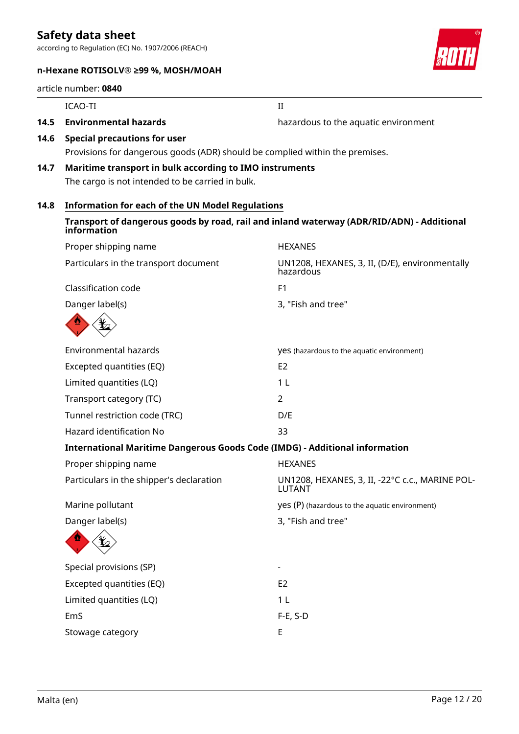according to Regulation (EC) No. 1907/2006 (REACH)

## **n-Hexane ROTISOLV® ≥99 %, MOSH/MOAH**

#### article number: **0840**



**14.5 Environmental hazards hazards** hazardous to the aquatic environment

- **14.6 Special precautions for user** Provisions for dangerous goods (ADR) should be complied within the premises.
- **14.7 Maritime transport in bulk according to IMO instruments** The cargo is not intended to be carried in bulk.

ICAO-TI II

## **14.8 Information for each of the UN Model Regulations**

#### **Transport of dangerous goods by road, rail and inland waterway (ADR/RID/ADN) - Additional information**

| Proper shipping name                                                               | <b>HEXANES</b>                                                   |
|------------------------------------------------------------------------------------|------------------------------------------------------------------|
| Particulars in the transport document                                              | UN1208, HEXANES, 3, II, (D/E), environmentally<br>hazardous      |
| Classification code                                                                | F <sub>1</sub>                                                   |
| Danger label(s)                                                                    | 3, "Fish and tree"                                               |
|                                                                                    |                                                                  |
| <b>Environmental hazards</b>                                                       | yes (hazardous to the aquatic environment)                       |
| Excepted quantities (EQ)                                                           | E <sub>2</sub>                                                   |
| Limited quantities (LQ)                                                            | 1 <sub>L</sub>                                                   |
| Transport category (TC)                                                            | $\overline{2}$                                                   |
| Tunnel restriction code (TRC)                                                      | D/E                                                              |
| Hazard identification No                                                           | 33                                                               |
| <b>International Maritime Dangerous Goods Code (IMDG) - Additional information</b> |                                                                  |
| Proper shipping name                                                               | <b>HEXANES</b>                                                   |
| Particulars in the shipper's declaration                                           | UN1208, HEXANES, 3, II, -22°C c.c., MARINE POL-<br><b>LUTANT</b> |
| Marine pollutant                                                                   | yes (P) (hazardous to the aquatic environment)                   |
| Danger label(s)                                                                    | 3, "Fish and tree"                                               |
|                                                                                    |                                                                  |
| Special provisions (SP)                                                            |                                                                  |
| Excepted quantities (EQ)                                                           | E <sub>2</sub>                                                   |
| Limited quantities (LQ)                                                            | 1 <sub>L</sub>                                                   |
| EmS                                                                                | $F-E$ , S-D                                                      |
| Stowage category                                                                   | E                                                                |
|                                                                                    |                                                                  |

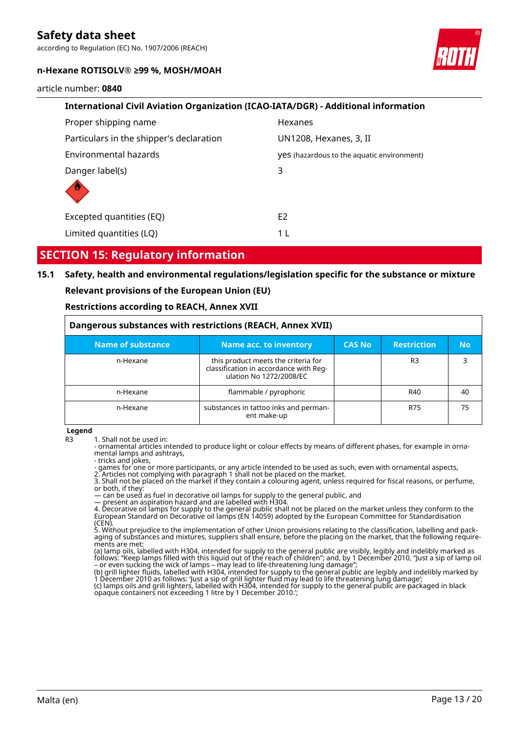according to Regulation (EC) No. 1907/2006 (REACH)

#### **n-Hexane ROTISOLV® ≥99 %, MOSH/MOAH**

article number: **0840**



## **SECTION 15: Regulatory information**

### **15.1 Safety, health and environmental regulations/legislation specific for the substance or mixture**

#### **Relevant provisions of the European Union (EU)**

#### **Restrictions according to REACH, Annex XVII**

| Dangerous substances with restrictions (REACH, Annex XVII) |                                                                                                          |               |                    |           |  |
|------------------------------------------------------------|----------------------------------------------------------------------------------------------------------|---------------|--------------------|-----------|--|
| Name of substance                                          | Name acc. to inventory                                                                                   | <b>CAS No</b> | <b>Restriction</b> | <b>No</b> |  |
| n-Hexane                                                   | this product meets the criteria for<br>classification in accordance with Reg-<br>ulation No 1272/2008/EC |               | R <sub>3</sub>     | 3         |  |
| n-Hexane                                                   | flammable / pyrophoric                                                                                   |               | R40                | 40        |  |
| n-Hexane                                                   | substances in tattoo inks and perman-<br>ent make-up                                                     |               | R75                | 75        |  |

**Legend**

R3 1. Shall not be used in:

- ornamental articles intended to produce light or colour effects by means of different phases, for example in ornamental lamps and ashtrays,

- tricks and jokes,

- games for one or more participants, or any article intended to be used as such, even with ornamental aspects,

2. Articles not complying with paragraph 1 shall not be placed on the market.

3. Shall not be placed on the market if they contain a colouring agent, unless required for fiscal reasons, or perfume, or both, if they:

— can be used as fuel in decorative oil lamps for supply to the general public, and

— present an aspiration hazard and are labelled with H304.

4. Decorative oil lamps for supply to the general public shall not be placed on the market unless they conform to the European Standard on Decorative oil lamps (EN 14059) adopted by the European Committee for Standardisation (CEN).

5. Without prejudice to the implementation of other Union provisions relating to the classification, labelling and packaging of substances and mixtures, suppliers shall ensure, before the placing on the market, that the following requirements are met:

(a) lamp oils, labelled with H304, intended for supply to the general public are visibly, legibly and indelibly marked as follows: "Keep lamps filled with this liquid out of the reach of children"; and, by 1 December 2010, "Just a sip of lamp oil – or even sucking the wick of lamps – may lead to life-threatening lung damage";

(b) grill lighter fluids, labelled with H304, intended for supply to the general public are legibly and indelibly marked by 1 December 2010 as follows: 'Just a sip of grill lighter fluid may lead to life threatening lung damage'; (c) lamps oils and grill lighters, labelled with H304, intended for supply to the general public are packaged in black opaque containers not exceeding 1 litre by 1 December 2010.';



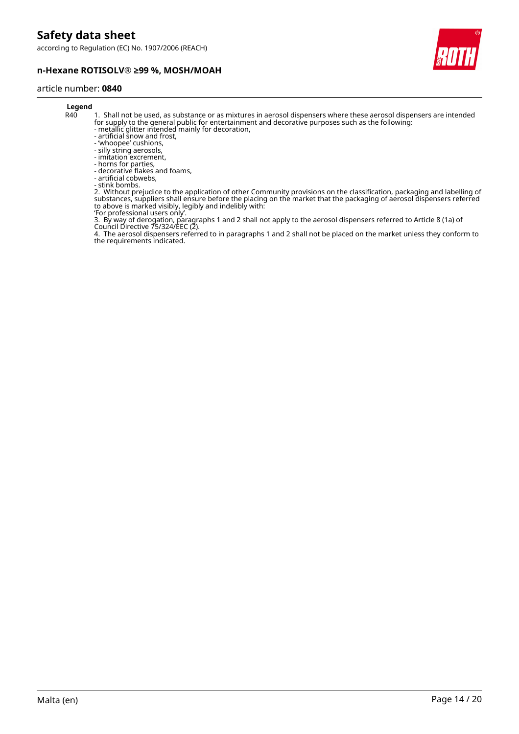according to Regulation (EC) No. 1907/2006 (REACH)





## article number: **0840**

## **Legend**<br>R40

- 1. Shall not be used, as substance or as mixtures in aerosol dispensers where these aerosol dispensers are intended for supply to the general public for entertainment and decorative purposes such as the following:
- metallic glitter intended mainly for decoration,
- artificial snow and frost, - 'whoopee' cushions,
- silly string aerosols,
- imitation excrement,
- horns for parties,
- decorative flakes and foams,
- artificial cobwebs,
- stink bombs.

2. Without prejudice to the application of other Community provisions on the classification, packaging and labelling of substances, suppliers shall ensure before the placing on the market that the packaging of aerosol dispensers referred to above is marked visibly, legibly and indelibly with:

'For professional users only'.

3. By way of derogation, paragraphs 1 and 2 shall not apply to the aerosol dispensers referred to Article 8 (1a) of Council Directive 75/324/EEC (2).

4. The aerosol dispensers referred to in paragraphs 1 and 2 shall not be placed on the market unless they conform to the requirements indicated.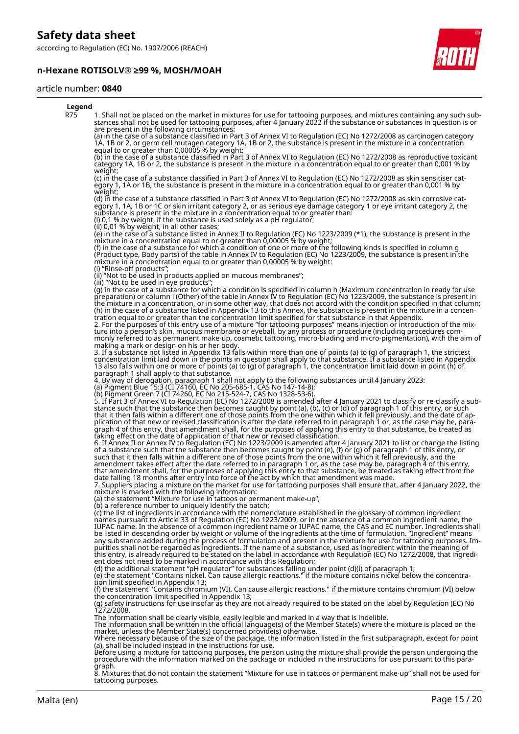according to Regulation (EC) No. 1907/2006 (REACH)

#### **n-Hexane ROTISOLV® ≥99 %, MOSH/MOAH**



#### article number: **0840**

| Legend |                                                                                                                                                                                                                                                                                                                                                                                                                                                                                                                                                                                                                                                                                                                                                                                                                                                                                                                                                                                                                                                                               |
|--------|-------------------------------------------------------------------------------------------------------------------------------------------------------------------------------------------------------------------------------------------------------------------------------------------------------------------------------------------------------------------------------------------------------------------------------------------------------------------------------------------------------------------------------------------------------------------------------------------------------------------------------------------------------------------------------------------------------------------------------------------------------------------------------------------------------------------------------------------------------------------------------------------------------------------------------------------------------------------------------------------------------------------------------------------------------------------------------|
| R75    | 1. Shall not be placed on the market in mixtures for use for tattooing purposes, and mixtures containing any such sub-<br>stances shall not be used for tattooing purposes, after 4 January 2022 if the substance or substances in question is or<br>are present in the following circumstances:                                                                                                                                                                                                                                                                                                                                                                                                                                                                                                                                                                                                                                                                                                                                                                              |
|        | (a) in the case of a substance classified in Part 3 of Annex VI to Regulation (EC) No 1272/2008 as carcinogen category<br>1A, 1B or 2, or germ cell mutagen category 1A, 1B or 2, the substance is present in the mixture in a concentration                                                                                                                                                                                                                                                                                                                                                                                                                                                                                                                                                                                                                                                                                                                                                                                                                                  |
|        | equal to or greater than 0,00005 % by weight;<br>(b) in the case of a substance classified in Part 3 of Annex VI to Regulation (EC) No 1272/2008 as reproductive toxicant<br>category 1A, 1B or 2, the substance is present in the mixture in a concentration equal to or greater than 0,001 % by                                                                                                                                                                                                                                                                                                                                                                                                                                                                                                                                                                                                                                                                                                                                                                             |
|        | weight;<br>(c) in the case of a substance classified in Part 3 of Annex VI to Regulation (EC) No 1272/2008 as skin sensitiser cat-<br>egory 1, 1A or 1B, the substance is present in the mixture in a concentration equal to or greater than 0,001 % by<br>weight;                                                                                                                                                                                                                                                                                                                                                                                                                                                                                                                                                                                                                                                                                                                                                                                                            |
|        | (d) in the case of a substance classified in Part 3 of Annex VI to Regulation (EC) No 1272/2008 as skin corrosive cat-<br>egory 1, 1A, 1B or 1C or skin irritant category 2, or as serious eye damage category 1 or eye irritant category 2, the<br>substance is present in the mixture in a concentration equal to or greater than:<br>(i) 0,1 % by weight, if the substance is used solely as a pH regulator;<br>(ii) 0,01 % by weight, in all other cases;                                                                                                                                                                                                                                                                                                                                                                                                                                                                                                                                                                                                                 |
|        | (e) in the case of a substance listed in Annex II to Regulation (EC) No 1223/2009 (*1), the substance is present in the<br>mixture in a concentration equal to or greater than 0,00005 % by weight;<br>(f) in the case of a substance for which a condition of one or more of the following kinds is specified in column g<br>(Product type, Body parts) of the table in Annex IV to Regulation (EC) No 1223/2009, the substance is present in the<br>mixture in a concentration equal to or greater than 0,00005 % by weight:                                                                                                                                                                                                                                                                                                                                                                                                                                                                                                                                                |
|        | (i) "Rinse-off products";<br>(ii) "Not to be used in products applied on mucous membranes";                                                                                                                                                                                                                                                                                                                                                                                                                                                                                                                                                                                                                                                                                                                                                                                                                                                                                                                                                                                   |
|        | (iii) "Not to be used in eye products";<br>(g) in the case of a substance for which a condition is specified in column h (Maximum concentration in ready for use<br>preparation) or column i (Other) of the table in Annex IV to Regulation (EC) No 1223/2009, the substance is present in<br>the mixture in a concentration, or in some other way, that does not accord with the condition specified in that column;<br>(h) in the case of a substance listed in Appendix 13 to this Annex, the substance is present in the mixture in a concen-<br>tration equal to or greater than the concentration limit specified for that substance in that Appendix.<br>2. For the purposes of this entry use of a mixture "for tattooing purposes" means injection or introduction of the mix-<br>ture into a person's skin, mucous membrane or eyeball, by any process or procedure (including procedures com-<br>monly referred to as permanent make-up, cosmetic tattooing, micro-blading and micro-pigmentation), with the aim of<br>making a mark or design on his or her body. |
|        | 3. If a substance not listed in Appendix 13 falls within more than one of points (a) to (g) of paragraph 1, the strictest<br>concentration limit laid down in the points in question shall apply to that substance. If a substance listed in Appendix<br>13 also falls within one or more of points (a) to (g) of paragraph 1, the concentration limit laid down in point (h) of<br>paragraph 1 shall apply to that substance.                                                                                                                                                                                                                                                                                                                                                                                                                                                                                                                                                                                                                                                |
|        | 4. By way of derogation, paragraph 1 shall not apply to the following substances until 4 January 2023:<br>(a) Pigment Blue 15:3 (CI 74160, EC No 205-685-1, CAS No 147-14-8);                                                                                                                                                                                                                                                                                                                                                                                                                                                                                                                                                                                                                                                                                                                                                                                                                                                                                                 |
|        | (b) Pigment Green 7 (CI 74260, EC No 215-524-7, CAS No 1328-53-6).<br>5. If Part 3 of Annex VI to Regulation (EC) No 1272/2008 is amended after 4 January 2021 to classify or re-classify a sub-<br>stance such that the substance then becomes caught by point (a), (b), (c) or (d) of paragraph 1 of this entry, or such<br>that it then falls within a different one of those points from the one within which it fell previously, and the date of ap-<br>plication of that new or revised classification is after the date referred to in paragraph 1 or, as the case may be, para-<br>graph 4 of this entry, that amendment shall, for the purposes of applying this entry to that substance, be treated as                                                                                                                                                                                                                                                                                                                                                              |
|        | taking effect on the date of application of that new or revised classification.<br>6. If Annex II or Annex IV to Regulation (EC) No 1223/2009 is amended after 4 January 2021 to list or change the listing<br>of a substance such that the substance then becomes caught by point (e), (f) or (g) of paragraph 1 of this entry, or<br>such that it then falls within a different one of those points from the one within which it fell previously, and the<br>amendment takes effect after the date referred to in paragraph 1 or, as the case may be, paragraph 4 of this entry,                                                                                                                                                                                                                                                                                                                                                                                                                                                                                            |
|        | that amendment shall, for the purposes of applying this entry to that substance, be treated as taking effect from the<br>date falling 18 months after entry into force of the act by which that amendment was made.<br>7. Suppliers placing a mixture on the market for use for tattooing purposes shall ensure that, after 4 January 2022, the<br>mixture is marked with the following information:<br>(a) the statement "Mixture for use in tattoos or permanent make-up";                                                                                                                                                                                                                                                                                                                                                                                                                                                                                                                                                                                                  |
|        | (b) a reference number to uniquely identify the batch;<br>(c) the list of ingredients in accordance with the nomenclature established in the glossary of common ingredient<br>names pursuant to Article 33 of Regulation (EC) No 1223/2009, or in the absence of a common ingredient name, the<br>IUPAC name. In the absence of a common ingredient name or IUPAC name, the CAS and EC number. Ingredients shall<br>be listed in descending order by weight or volume of the ingredients at the time of formulation. "Ingredient" means<br>any substance added during the process of formulation and present in the mixture for use for tattooing purposes. Im-<br>purities shall not be regarded as ingredients. If the name of a substance, used as ingredient within the meaning of<br>this entry, is already required to be stated on the label in accordance with Regulation (EC) No 1272/2008, that ingredi-<br>ent does not need to be marked in accordance with this Regulation;                                                                                      |
|        | (d) the additional statement "pH regulator" for substances falling under point (d)(i) of paragraph 1;<br>(e) the statement "Contains nickel. Can cause allergic reactions." if the mixture contains nickel below the concentra-<br>tion limit specified in Appendix 13;                                                                                                                                                                                                                                                                                                                                                                                                                                                                                                                                                                                                                                                                                                                                                                                                       |
|        | (f) the statement "Contains chromium (VI). Can cause allergic reactions." if the mixture contains chromium (VI) below<br>the concentration limit specified in Appendix 13;<br>(g) safety instructions for use insofar as they are not already required to be stated on the label by Regulation (EC) No<br>1272/2008.                                                                                                                                                                                                                                                                                                                                                                                                                                                                                                                                                                                                                                                                                                                                                          |
|        | The information shall be clearly visible, easily legible and marked in a way that is indelible.<br>The information shall be written in the official language(s) of the Member State(s) where the mixture is placed on the<br>market, unless the Member State(s) concerned provide(s) otherwise.<br>Where necessary because of the size of the package, the information listed in the first subparagraph, except for point                                                                                                                                                                                                                                                                                                                                                                                                                                                                                                                                                                                                                                                     |
|        | (a), shall be included instead in the instructions for use.<br>Before using a mixture for tattooing purposes, the person using the mixture shall provide the person undergoing the<br>procedure with the information marked on the package or included in the instructions for use pursuant to t<br>graph.                                                                                                                                                                                                                                                                                                                                                                                                                                                                                                                                                                                                                                                                                                                                                                    |
|        | $\tilde{Q}$ Mixtures that do not contain the statement "Mixture for use in tattoos or nermanent make un" shall not be used for                                                                                                                                                                                                                                                                                                                                                                                                                                                                                                                                                                                                                                                                                                                                                                                                                                                                                                                                                |

8. Mixtures that do not contain the statement "Mixture for use in tattoos or permanent make-up" shall not be used for tattooing purposes.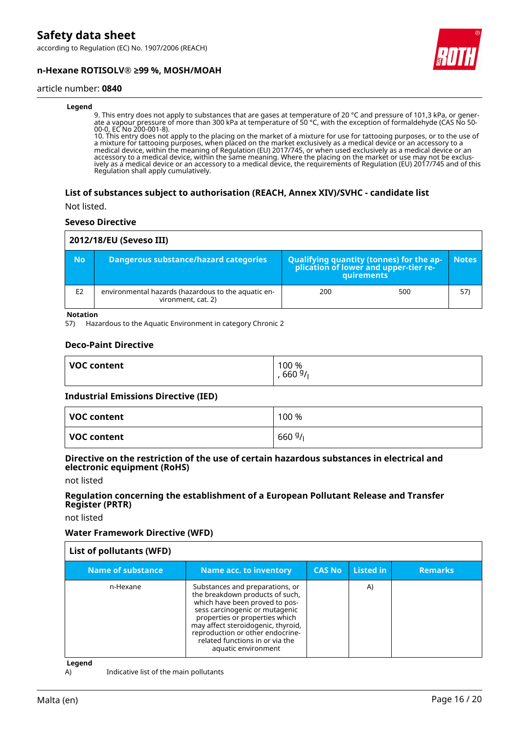according to Regulation (EC) No. 1907/2006 (REACH)





#### article number: **0840**

#### **Legend**

9. This entry does not apply to substances that are gases at temperature of 20 °C and pressure of 101,3 kPa, or generate a vapour pressure of more than 300 kPa at temperature of 50 °C, with the exception of formaldehyde (CAS No 50- 00-0, EC No 200-001-8).

10. This entry does not apply to the placing on the market of a mixture for use for tattooing purposes, or to the use of a mixture for tattooing purposes, when placed on the market exclusively as a medical device or an accessory to a medical device, within the meaning of Regulation (EU) 2017/745, or when used exclusively as a medical device or an accessory to a medical device, within the same meaning. Where the placing on the market or use may not be exclusively as a medical device or an accessory to a medical device, the requirements of Regulation (EU) 2017/745 and of this Regulation shall apply cumulatively.

#### **List of substances subject to authorisation (REACH, Annex XIV)/SVHC - candidate list**

Not listed.

#### **Seveso Directive**

| 2012/18/EU (Seveso III) |                                                                           |                                                                                                   |     |              |  |  |
|-------------------------|---------------------------------------------------------------------------|---------------------------------------------------------------------------------------------------|-----|--------------|--|--|
| <b>No</b>               | Dangerous substance/hazard categories                                     | Qualifying quantity (tonnes) for the application of lower and upper-tier re-<br><b>auirements</b> |     | <b>Notes</b> |  |  |
| E <sub>2</sub>          | environmental hazards (hazardous to the aquatic en-<br>vironment, cat. 2) | 200                                                                                               | 500 | 57)          |  |  |

**Notation**

57) Hazardous to the Aquatic Environment in category Chronic 2

#### **Deco-Paint Directive**

| <b>VOC content</b> | 100 %<br>6609/ |
|--------------------|----------------|
|                    |                |

#### **Industrial Emissions Directive (IED)**

| VOC content | 100 %  |
|-------------|--------|
| VOC content | 6609/1 |

#### **Directive on the restriction of the use of certain hazardous substances in electrical and electronic equipment (RoHS)**

not listed

#### **Regulation concerning the establishment of a European Pollutant Release and Transfer Register (PRTR)**

not listed

#### **Water Framework Directive (WFD)**

| List of pollutants (WFD) |                                                                                                                                                                                                                                                                                                              |               |           |                |
|--------------------------|--------------------------------------------------------------------------------------------------------------------------------------------------------------------------------------------------------------------------------------------------------------------------------------------------------------|---------------|-----------|----------------|
| Name of substance        | <b>Name acc. to inventory</b>                                                                                                                                                                                                                                                                                | <b>CAS No</b> | Listed in | <b>Remarks</b> |
| n-Hexane                 | Substances and preparations, or<br>the breakdown products of such,<br>which have been proved to pos-<br>sess carcinogenic or mutagenic<br>properties or properties which<br>may affect steroidogenic, thyroid,<br>reproduction or other endocrine-<br>related functions in or via the<br>aquatic environment |               | A)        |                |

**Legend**

A) Indicative list of the main pollutants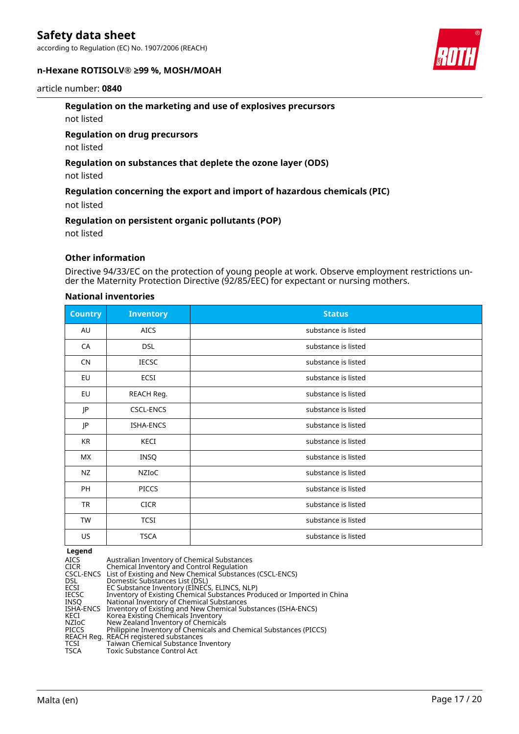according to Regulation (EC) No. 1907/2006 (REACH)

#### **n-Hexane ROTISOLV® ≥99 %, MOSH/MOAH**

#### article number: **0840**

#### **Regulation on the marketing and use of explosives precursors**

not listed

#### **Regulation on drug precursors**

not listed

#### **Regulation on substances that deplete the ozone layer (ODS)**

not listed

#### **Regulation concerning the export and import of hazardous chemicals (PIC)**

not listed

#### **Regulation on persistent organic pollutants (POP)**

not listed

#### **Other information**

Directive 94/33/EC on the protection of young people at work. Observe employment restrictions under the Maternity Protection Directive (92/85/EEC) for expectant or nursing mothers.

#### **National inventories**

| <b>Country</b> | <b>Inventory</b> | <b>Status</b>       |
|----------------|------------------|---------------------|
| AU             | <b>AICS</b>      | substance is listed |
| CA             | <b>DSL</b>       | substance is listed |
| <b>CN</b>      | <b>IECSC</b>     | substance is listed |
| EU             | ECSI             | substance is listed |
| EU             | REACH Reg.       | substance is listed |
| JP             | CSCL-ENCS        | substance is listed |
| JP             | ISHA-ENCS        | substance is listed |
| KR             | KECI             | substance is listed |
| МX             | INSQ             | substance is listed |
| NZ             | NZIoC            | substance is listed |
| PH             | <b>PICCS</b>     | substance is listed |
| <b>TR</b>      | <b>CICR</b>      | substance is listed |
| <b>TW</b>      | <b>TCSI</b>      | substance is listed |
| US             | <b>TSCA</b>      | substance is listed |

#### **Legend**

| AICS<br>CICR | Australian Inventory of Chemical Substances<br>Chemical Inventory and Control Regulation |
|--------------|------------------------------------------------------------------------------------------|
|              | CSCL-ENCS List of Existing and New Chemical Substances (CSCL-ENCS)                       |
| DSL.         | Domestic Substances List (DSL)                                                           |
| ECSI         | EC Substance Inventory (EINECS, ELINCS, NLP)                                             |
| IECSC        | Inventory of Existing Chemical Substances Produced or Imported in China                  |
| INSO         | National Inventory of Chemical Substances                                                |
|              | ISHA-ENCS Inventory of Existing and New Chemical Substances (ISHA-ENCS)                  |
| KECI         | Korea Existing Chemicals Inventory                                                       |
| NZIoC        | New Zealand Inventory of Chemicals                                                       |
| PICCS        | Philippine Inventory of Chemicals and Chemical Substances (PICCS)                        |
|              | REACH Reg.  REACH registered substances                                                  |
| TCSI         | Taiwan Chemical Substance Inventory                                                      |
| TSCA         | Toxic Substance Control Act                                                              |
|              |                                                                                          |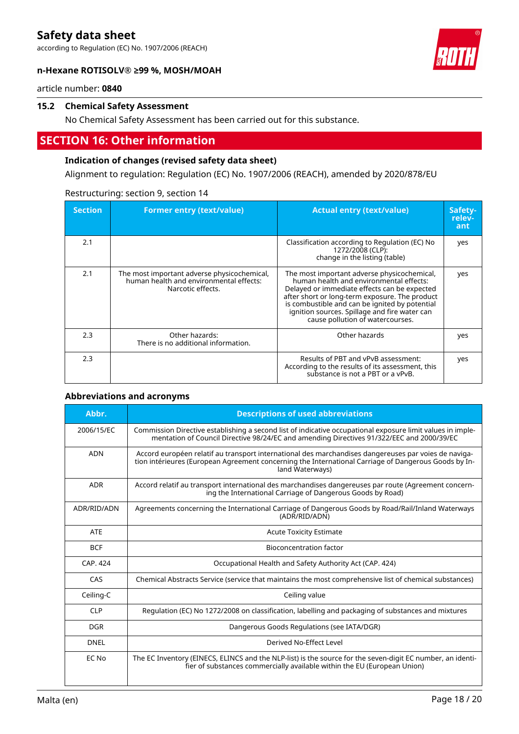according to Regulation (EC) No. 1907/2006 (REACH)

#### **n-Hexane ROTISOLV® ≥99 %, MOSH/MOAH**



article number: **0840**

#### **15.2 Chemical Safety Assessment**

No Chemical Safety Assessment has been carried out for this substance.

## **SECTION 16: Other information**

#### **Indication of changes (revised safety data sheet)**

Alignment to regulation: Regulation (EC) No. 1907/2006 (REACH), amended by 2020/878/EU

| <b>Section</b> | <b>Former entry (text/value)</b>                                                                            | <b>Actual entry (text/value)</b>                                                                                                                                                                                                                                                                                                | Safety-<br>relev-<br>ant |
|----------------|-------------------------------------------------------------------------------------------------------------|---------------------------------------------------------------------------------------------------------------------------------------------------------------------------------------------------------------------------------------------------------------------------------------------------------------------------------|--------------------------|
| 2.1            |                                                                                                             | Classification according to Regulation (EC) No<br>1272/2008 (CLP):<br>change in the listing (table)                                                                                                                                                                                                                             | yes                      |
| 2.1            | The most important adverse physicochemical,<br>human health and environmental effects:<br>Narcotic effects. | The most important adverse physicochemical,<br>human health and environmental effects:<br>Delayed or immediate effects can be expected<br>after short or long-term exposure. The product<br>is combustible and can be ignited by potential<br>ignition sources. Spillage and fire water can<br>cause pollution of watercourses. | yes                      |
| 2.3            | Other hazards:<br>There is no additional information.                                                       | Other hazards                                                                                                                                                                                                                                                                                                                   | yes                      |
| 2.3            |                                                                                                             | Results of PBT and vPvB assessment:<br>According to the results of its assessment, this<br>substance is not a PBT or a vPvB.                                                                                                                                                                                                    | yes                      |

#### Restructuring: section 9, section 14

#### **Abbreviations and acronyms**

| Abbr.       | <b>Descriptions of used abbreviations</b>                                                                                                                                                                                       |
|-------------|---------------------------------------------------------------------------------------------------------------------------------------------------------------------------------------------------------------------------------|
| 2006/15/EC  | Commission Directive establishing a second list of indicative occupational exposure limit values in imple-<br>mentation of Council Directive 98/24/EC and amending Directives 91/322/EEC and 2000/39/EC                         |
| <b>ADN</b>  | Accord européen relatif au transport international des marchandises dangereuses par voies de naviga-<br>tion intérieures (European Agreement concerning the International Carriage of Dangerous Goods by In-<br>land Waterways) |
| <b>ADR</b>  | Accord relatif au transport international des marchandises dangereuses par route (Agreement concern-<br>ing the International Carriage of Dangerous Goods by Road)                                                              |
| ADR/RID/ADN | Agreements concerning the International Carriage of Dangerous Goods by Road/Rail/Inland Waterways<br>(ADR/RID/ADN)                                                                                                              |
| <b>ATE</b>  | <b>Acute Toxicity Estimate</b>                                                                                                                                                                                                  |
| <b>BCF</b>  | <b>Bioconcentration factor</b>                                                                                                                                                                                                  |
| CAP. 424    | Occupational Health and Safety Authority Act (CAP. 424)                                                                                                                                                                         |
| CAS         | Chemical Abstracts Service (service that maintains the most comprehensive list of chemical substances)                                                                                                                          |
| Ceiling-C   | Ceiling value                                                                                                                                                                                                                   |
| <b>CLP</b>  | Regulation (EC) No 1272/2008 on classification, labelling and packaging of substances and mixtures                                                                                                                              |
| <b>DGR</b>  | Dangerous Goods Regulations (see IATA/DGR)                                                                                                                                                                                      |
| <b>DNEL</b> | Derived No-Effect Level                                                                                                                                                                                                         |
| EC No       | The EC Inventory (EINECS, ELINCS and the NLP-list) is the source for the seven-digit EC number, an identi-<br>fier of substances commercially available within the EU (European Union)                                          |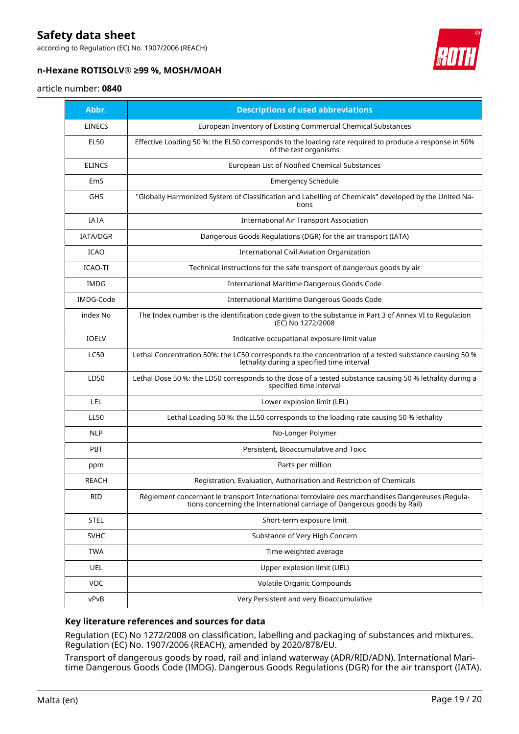according to Regulation (EC) No. 1907/2006 (REACH)



#### **n-Hexane ROTISOLV® ≥99 %, MOSH/MOAH**

#### article number: **0840**

| Abbr.           | <b>Descriptions of used abbreviations</b>                                                                                                                                    |
|-----------------|------------------------------------------------------------------------------------------------------------------------------------------------------------------------------|
| <b>EINECS</b>   | European Inventory of Existing Commercial Chemical Substances                                                                                                                |
| <b>EL50</b>     | Effective Loading 50 %: the EL50 corresponds to the loading rate required to produce a response in 50%<br>of the test organisms                                              |
| <b>ELINCS</b>   | European List of Notified Chemical Substances                                                                                                                                |
| EmS             | <b>Emergency Schedule</b>                                                                                                                                                    |
| <b>GHS</b>      | "Globally Harmonized System of Classification and Labelling of Chemicals" developed by the United Na-<br>tions                                                               |
| <b>IATA</b>     | <b>International Air Transport Association</b>                                                                                                                               |
| <b>IATA/DGR</b> | Dangerous Goods Regulations (DGR) for the air transport (IATA)                                                                                                               |
| <b>ICAO</b>     | <b>International Civil Aviation Organization</b>                                                                                                                             |
| ICAO-TI         | Technical instructions for the safe transport of dangerous goods by air                                                                                                      |
| IMDG            | <b>International Maritime Dangerous Goods Code</b>                                                                                                                           |
| IMDG-Code       | International Maritime Dangerous Goods Code                                                                                                                                  |
| index No        | The Index number is the identification code given to the substance in Part 3 of Annex VI to Regulation<br>(EC) No 1272/2008                                                  |
| <b>IOELV</b>    | Indicative occupational exposure limit value                                                                                                                                 |
| <b>LC50</b>     | Lethal Concentration 50%: the LC50 corresponds to the concentration of a tested substance causing 50 %<br>lethality during a specified time interval                         |
| LD50            | Lethal Dose 50 %: the LD50 corresponds to the dose of a tested substance causing 50 % lethality during a<br>specified time interval                                          |
| LEL             | Lower explosion limit (LEL)                                                                                                                                                  |
| <b>LL50</b>     | Lethal Loading 50 %: the LL50 corresponds to the loading rate causing 50 % lethality                                                                                         |
| <b>NLP</b>      | No-Longer Polymer                                                                                                                                                            |
| <b>PBT</b>      | Persistent, Bioaccumulative and Toxic                                                                                                                                        |
| ppm             | Parts per million                                                                                                                                                            |
| REACH           | Registration, Evaluation, Authorisation and Restriction of Chemicals                                                                                                         |
| <b>RID</b>      | Règlement concernant le transport International ferroviaire des marchandises Dangereuses (Regula-<br>tions concerning the International carriage of Dangerous goods by Rail) |
| <b>STEL</b>     | Short-term exposure limit                                                                                                                                                    |
| <b>SVHC</b>     | Substance of Very High Concern                                                                                                                                               |
| <b>TWA</b>      | Time-weighted average                                                                                                                                                        |
| UEL             | Upper explosion limit (UEL)                                                                                                                                                  |
| VOC             | Volatile Organic Compounds                                                                                                                                                   |
| vPvB            | Very Persistent and very Bioaccumulative                                                                                                                                     |

#### **Key literature references and sources for data**

Regulation (EC) No 1272/2008 on classification, labelling and packaging of substances and mixtures. Regulation (EC) No. 1907/2006 (REACH), amended by 2020/878/EU.

Transport of dangerous goods by road, rail and inland waterway (ADR/RID/ADN). International Maritime Dangerous Goods Code (IMDG). Dangerous Goods Regulations (DGR) for the air transport (IATA).